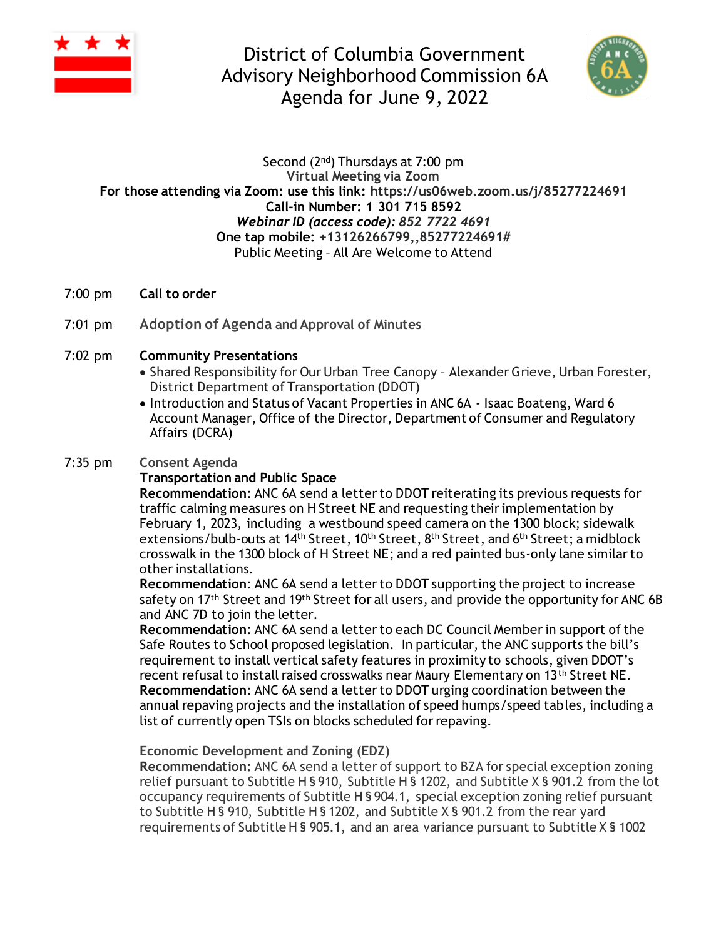

District of Columbia Government Advisory Neighborhood Commission 6A Agenda for June 9, 2022



#### Second (2nd) Thursdays at 7:00 pm **Virtual Meeting via Zoom For those attending via Zoom: use this link: https://us06web.zoom.us/j/85277224691 Call-in Number: 1 301 715 8592** *Webinar ID (access code): 852 7722 4691* **One tap mobile: +13126266799,,85277224691#** Public Meeting – All Are Welcome to Attend

- 7:00 pm **Call to order**
- 7:01 pm **Adoption of Agenda and Approval of Minutes**

#### 7:02 pm **Community Presentations**

- Shared Responsibility for Our Urban Tree Canopy Alexander Grieve, Urban Forester, District Department of Transportation (DDOT)
- Introduction and Status of Vacant Properties in ANC 6A Isaac Boateng, Ward 6 Account Manager, Office of the Director, Department of Consumer and Regulatory Affairs (DCRA)

#### 7:35 pm **Consent Agenda**

#### **Transportation and Public Space**

**Recommendation**: ANC 6A send a letter to DDOT reiterating its previous requests for traffic calming measures on H Street NE and requesting their implementation by February 1, 2023, including a westbound speed camera on the 1300 block; sidewalk extensions/bulb-outs at 14<sup>th</sup> Street, 10<sup>th</sup> Street, 8<sup>th</sup> Street, and 6<sup>th</sup> Street; a midblock crosswalk in the 1300 block of H Street NE; and a red painted bus-only lane similar to other installations.

**Recommendation**: ANC 6A send a letter to DDOT supporting the project to increase safety on 17<sup>th</sup> Street and 19<sup>th</sup> Street for all users, and provide the opportunity for ANC 6B and ANC 7D to join the letter.

**Recommendation**: ANC 6A send a letter to each DC Council Member in support of the Safe Routes to School proposed legislation. In particular, the ANC supports the bill's requirement to install vertical safety features in proximity to schools, given DDOT's recent refusal to install raised crosswalks near Maury Elementary on 13th Street NE. **Recommendation**: ANC 6A send a letter to DDOT urging coordination between the annual repaving projects and the installation of speed humps/speed tables, including a list of currently open TSIs on blocks scheduled for repaving.

**Economic Development and Zoning (EDZ)**

**Recommendation:** ANC 6A send a letter of support to BZA for special exception zoning relief pursuant to Subtitle H § 910, Subtitle H § 1202, and Subtitle X § 901.2 from the lot occupancy requirements of Subtitle H § 904.1, special exception zoning relief pursuant to Subtitle H § 910, Subtitle H § 1202, and Subtitle X § 901.2 from the rear yard requirements of Subtitle H § 905.1, and an area variance pursuant to Subtitle X § 1002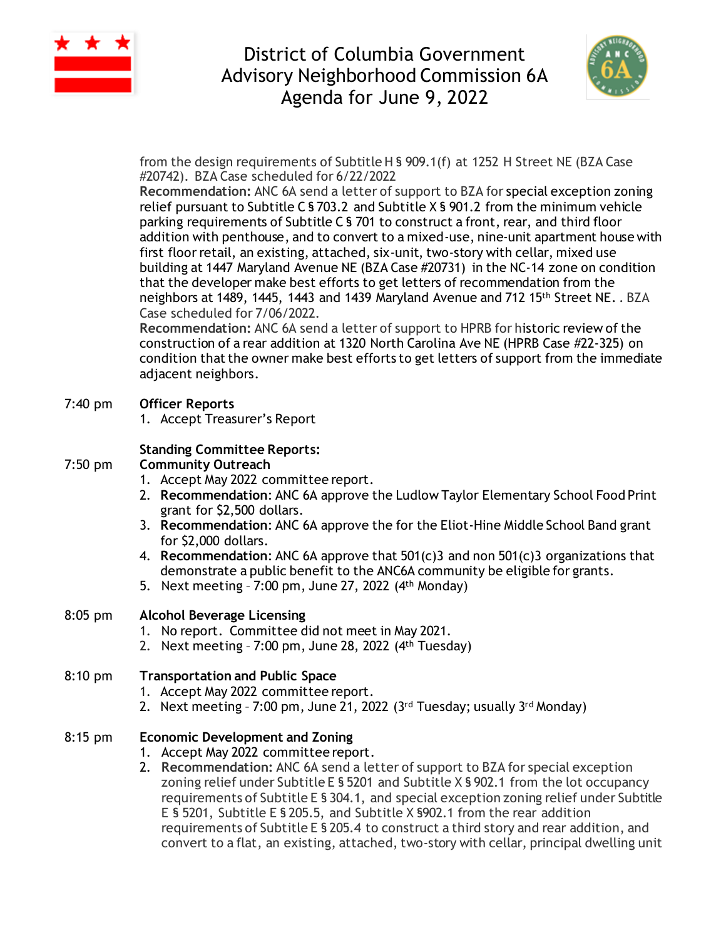

# District of Columbia Government Advisory Neighborhood Commission 6A Agenda for June 9, 2022



from the design requirements of Subtitle H § 909.1(f) at 1252 H Street NE (BZA Case #20742). BZA Case scheduled for 6/22/2022

**Recommendation:** ANC 6A send a letter of support to BZA for special exception zoning relief pursuant to Subtitle C § 703.2 and Subtitle X § 901.2 from the minimum vehicle parking requirements of Subtitle C § 701 to construct a front, rear, and third floor addition with penthouse, and to convert to a mixed-use, nine-unit apartment house with first floor retail, an existing, attached, six-unit, two-story with cellar, mixed use building at 1447 Maryland Avenue NE (BZA Case #20731) in the NC-14 zone on condition that the developer make best efforts to get letters of recommendation from the neighbors at 1489, 1445, 1443 and 1439 Maryland Avenue and 712 15th Street NE. . BZA Case scheduled for 7/06/2022.

**Recommendation:** ANC 6A send a letter of support to HPRB for historic review of the construction of a rear addition at 1320 North Carolina Ave NE (HPRB Case #22-325) on condition that the owner make best efforts to get letters of support from the immediate adjacent neighbors.

#### 7:40 pm **Officer Reports**

1. Accept Treasurer's Report

#### **Standing Committee Reports:**

#### 7:50 pm **Community Outreach**

- 1. Accept May 2022 committee report.
- 2. **Recommendation**: ANC 6A approve the Ludlow Taylor Elementary School Food Print grant for \$2,500 dollars.
- 3. **Recommendation**: ANC 6A approve the for the Eliot-Hine Middle School Band grant for \$2,000 dollars.
- 4. **Recommendation**: ANC 6A approve that 501(c)3 and non 501(c)3 organizations that demonstrate a public benefit to the ANC6A community be eligible for grants.
- 5. Next meeting 7:00 pm, June 27, 2022 (4th Monday)

#### 8:05 pm **Alcohol Beverage Licensing**

- 1. No report. Committee did not meet in May 2021.
- 2. Next meeting  $-7:00$  pm, June 28, 2022  $(4<sup>th</sup> Tuesday)$

## 8:10 pm **Transportation and Public Space**

- 1. Accept May 2022 committee report.
- 2. Next meeting 7:00 pm, June 21, 2022 (3<sup>rd</sup> Tuesday; usually 3<sup>rd</sup> Monday)

### 8:15 pm **Economic Development and Zoning**

- 1. Accept May 2022 committee report.
- 2. **Recommendation:** ANC 6A send a letter of support to BZA for special exception zoning relief under Subtitle E § 5201 and Subtitle X § 902.1 from the lot occupancy requirements of Subtitle E § 304.1, and special exception zoning relief under Subtitle E § 5201, Subtitle E § 205.5, and Subtitle X §902.1 from the rear addition requirements of Subtitle E § 205.4 to construct a third story and rear addition, and convert to a flat, an existing, attached, two-story with cellar, principal dwelling unit